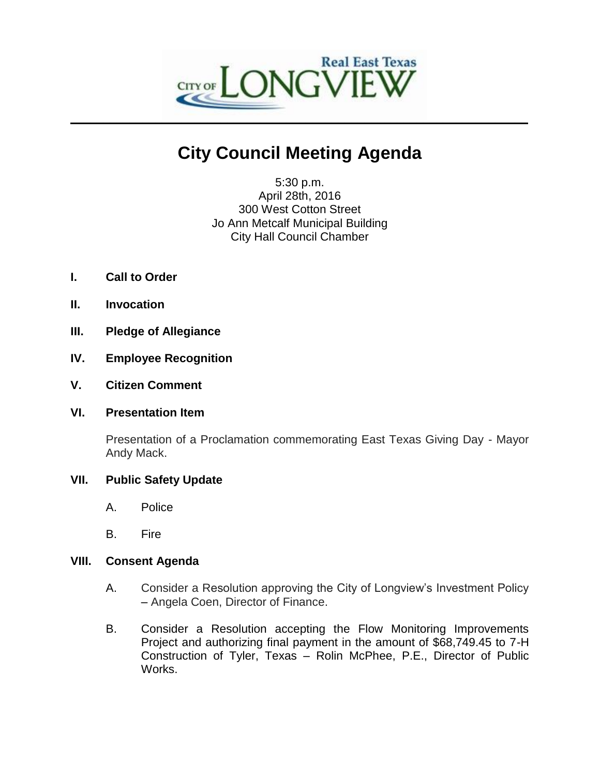

# **City Council Meeting Agenda**

5:30 p.m. April 28th, 2016 300 West Cotton Street Jo Ann Metcalf Municipal Building City Hall Council Chamber

- **I. Call to Order**
- **II. Invocation**
- **III. Pledge of Allegiance**
- **IV. Employee Recognition**
- **V. Citizen Comment**
- **VI. Presentation Item**

Presentation of a Proclamation commemorating East Texas Giving Day - Mayor Andy Mack.

## **VII. Public Safety Update**

- A. Police
- B. Fire

## **VIII. Consent Agenda**

- A. Consider a Resolution approving the City of Longview's Investment Policy – Angela Coen, Director of Finance.
- B. Consider a Resolution accepting the Flow Monitoring Improvements Project and authorizing final payment in the amount of \$68,749.45 to 7-H Construction of Tyler, Texas – Rolin McPhee, P.E., Director of Public Works.